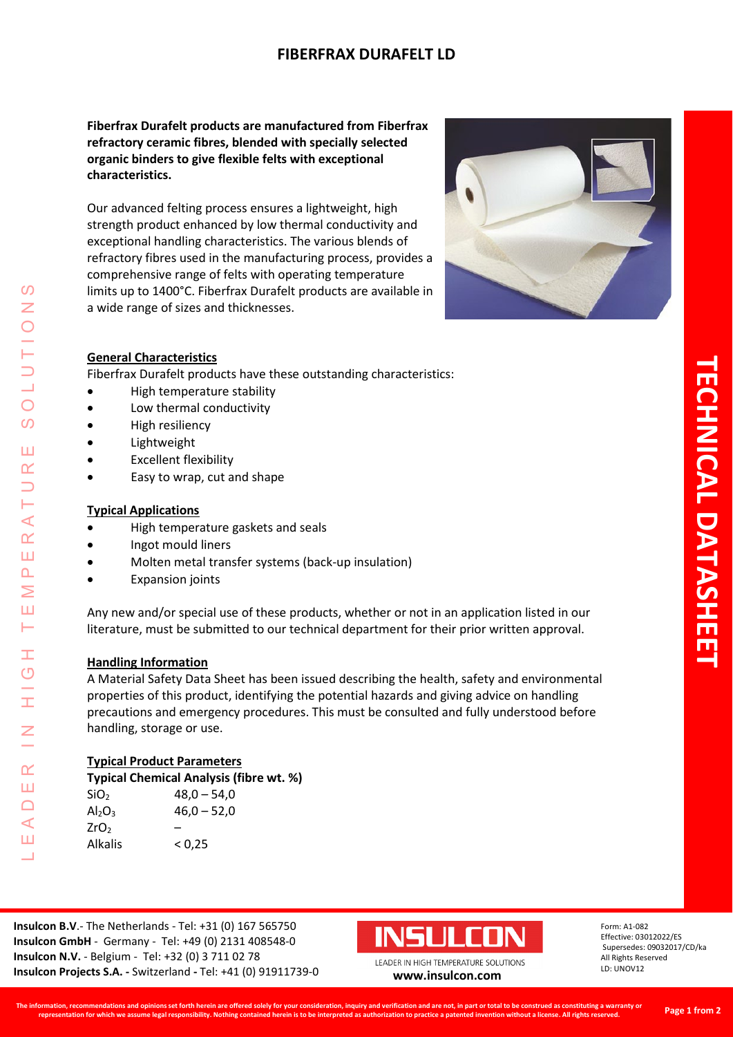# **FIBERFRAX DURAFELT LD**

**Fiberfrax Durafelt products are manufactured from Fiberfrax refractory ceramic fibres, blended with specially selected organic binders to give flexible felts with exceptional characteristics.** 

Our advanced felting process ensures a lightweight, high strength product enhanced by low thermal conductivity and exceptional handling characteristics. The various blends of refractory fibres used in the manufacturing process, provides a comprehensive range of felts with operating temperature limits up to 1400°C. Fiberfrax Durafelt products are available in a wide range of sizes and thicknesses.



## **General Characteristics**

Fiberfrax Durafelt products have these outstanding characteristics:

- High temperature stability
- Low thermal conductivity
- High resiliency
- Lightweight
- Excellent flexibility
- Easy to wrap, cut and shape

### **Typical Applications**

LEADER IN HIGH TEMPERATURE SOLUTIONS

Ŧ  $\overline{O}$ 

 $\alpha$ Ш  $\Box$  $\triangleleft$ Ш  $\overline{\phantom{0}}$ 

 $\prec$  $\underline{\alpha}$ Ш  $\overline{\mathbf{r}}$ Σ Ш Н

 $\mathcal{O}$  $\overline{z}$ 

 $\bigcirc$  $\boldsymbol{\omega}$ 

Ш  $\alpha$ 

- High temperature gaskets and seals
- Ingot mould liners
- Molten metal transfer systems (back-up insulation)
- **Expansion joints**

Any new and/or special use of these products, whether or not in an application listed in our literature, must be submitted to our technical department for their prior written approval.

### **Handling Information**

A Material Safety Data Sheet has been issued describing the health, safety and environmental properties of this product, identifying the potential hazards and giving advice on handling precautions and emergency procedures. This must be consulted and fully understood before handling, storage or use.

### **Typical Product Parameters**

| Typical Chemical Analysis (fibre wt. %) |               |  |  |  |
|-----------------------------------------|---------------|--|--|--|
| SiO <sub>2</sub>                        | $48,0 - 54,0$ |  |  |  |
| $Al_2O_3$                               | $46,0 - 52,0$ |  |  |  |
| ZrO <sub>2</sub>                        |               |  |  |  |
| <b>Alkalis</b>                          | < 0.25        |  |  |  |
|                                         |               |  |  |  |

**Insulcon B.V**.- The Netherlands - Tel: +31 (0) 167 565750 **Insulcon GmbH** - Germany - Tel: +49 (0) 2131 408548-0 **Insulcon N.V.** - Belgium - Tel: +32 (0) 3 711 02 78 **Insulcon Projects S.A. -** Switzerland **-** Tel: +41 (0) 91911739-0 **[www.insulcon.com](http://www.insulcon.com/)**



Form: A1-082 Effective: 03012022/ES Supersedes: 09032017/CD/ka All Rights Reserved LD: UNOV12

**The information, recommendations and opinions set forth herein are offered solely for your consideration, inquiry and verification and are not, in part or total to be construed as constituting a warranty or representation for which we assume legal responsibility. Nothing contained herein is to be interpreted as authorization to practice a patented invention without a license. All rights reserved.**

**Page 1 from 2**